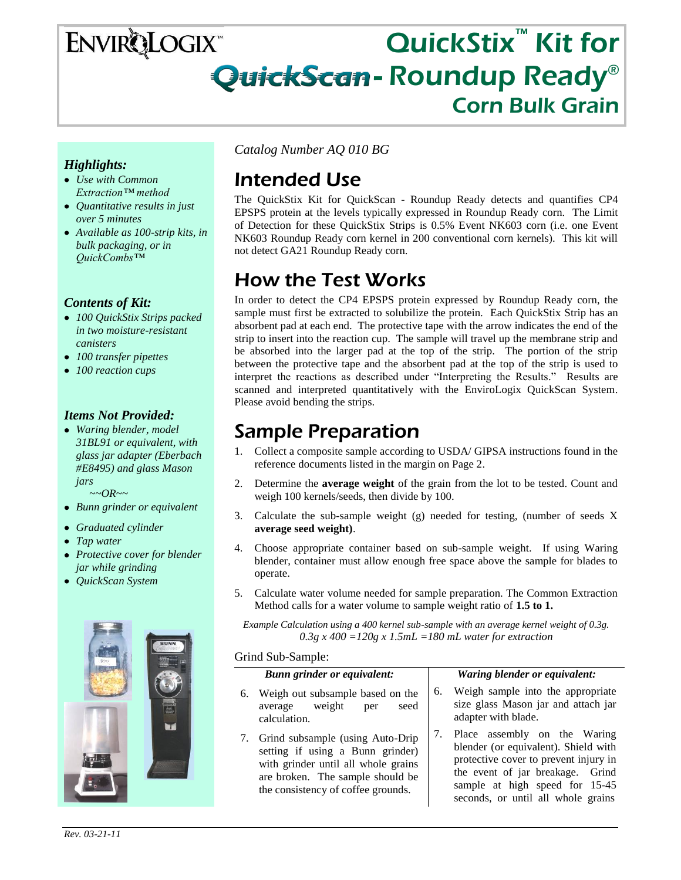## QuickStix<sup>™</sup> Kit for **ENVIRQLOGIX** QuickScan - Roundup Ready® I Corn Bulk Grain

### *Highlights:*

- *Use with Common Extraction™ method*
- *Quantitative results in just over 5 minutes*
- *Available as 100-strip kits, in bulk packaging, or in QuickCombs™*

### *Contents of Kit:*

- *100 QuickStix Strips packed in two moisture-resistant canisters*
- *100 transfer pipettes*
- *100 reaction cups*

### *Items Not Provided:*

- *Waring blender, model 31BL91 or equivalent, with glass jar adapter (Eberbach #E8495) and glass Mason jars ~~OR~~*
- *Bunn grinder or equivalent*
- *Graduated cylinder*
- *Tap water*
- *Protective cover for blender jar while grinding*
- *QuickScan System*



*Catalog Number AQ 010 BG*

# Intended Use

The QuickStix Kit for QuickScan - Roundup Ready detects and quantifies CP4 EPSPS protein at the levels typically expressed in Roundup Ready corn. The Limit of Detection for these QuickStix Strips is 0.5% Event NK603 corn (i.e. one Event NK603 Roundup Ready corn kernel in 200 conventional corn kernels). This kit will not detect GA21 Roundup Ready corn.

# How the Test Works

In order to detect the CP4 EPSPS protein expressed by Roundup Ready corn, the sample must first be extracted to solubilize the protein. Each QuickStix Strip has an absorbent pad at each end. The protective tape with the arrow indicates the end of the strip to insert into the reaction cup. The sample will travel up the membrane strip and be absorbed into the larger pad at the top of the strip. The portion of the strip between the protective tape and the absorbent pad at the top of the strip is used to interpret the reactions as described under "Interpreting the Results." Results are scanned and interpreted quantitatively with the EnviroLogix QuickScan System. Please avoid bending the strips.

## Sample Preparation

- 1. Collect a composite sample according to USDA/ GIPSA instructions found in the reference documents listed in the margin on Page 2.
- 2. Determine the **average weight** of the grain from the lot to be tested. Count and weigh 100 kernels/seeds, then divide by 100.
- 3. Calculate the sub-sample weight (g) needed for testing, (number of seeds X **average seed weight)**.
- 4. Choose appropriate container based on sub-sample weight. If using Waring blender, container must allow enough free space above the sample for blades to operate.
- 5. Calculate water volume needed for sample preparation. The Common Extraction Method calls for a water volume to sample weight ratio of **1.5 to 1.**

*Example Calculation using a 400 kernel sub-sample with an average kernel weight of 0.3g. 0.3g x 400 =120g x 1.5mL =180 mL water for extraction*

#### Grind Sub-Sample:

| <b>Bunn grinder or equivalent:</b>                                                                                                                                                       | Waring blender or equivalent:                                                                                                                                                                                             |
|------------------------------------------------------------------------------------------------------------------------------------------------------------------------------------------|---------------------------------------------------------------------------------------------------------------------------------------------------------------------------------------------------------------------------|
| Weigh out subsample based on the<br>6.<br>average weight<br>seed<br>per<br>calculation.                                                                                                  | Weigh sample into the appropriate<br>6.<br>size glass Mason jar and attach jar<br>adapter with blade.                                                                                                                     |
| 7. Grind subsample (using Auto-Drip<br>setting if using a Bunn grinder)<br>with grinder until all whole grains<br>are broken. The sample should be<br>the consistency of coffee grounds. | Place assembly on the Waring<br>blender (or equivalent). Shield with<br>protective cover to prevent injury in<br>the event of jar breakage. Grind<br>sample at high speed for 15-45<br>seconds, or until all whole grains |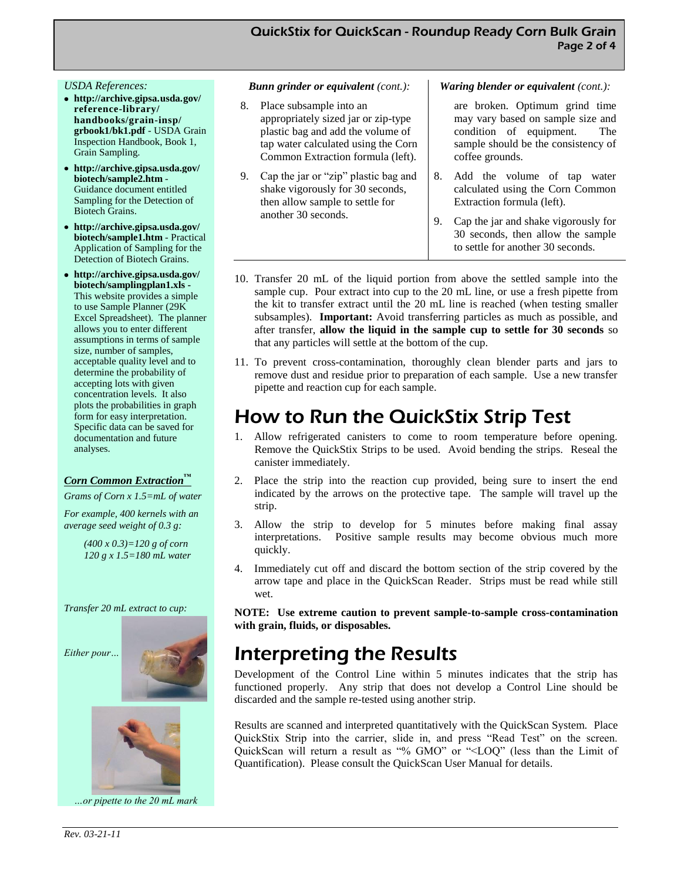#### *USDA References:*

- **http://archive.gipsa.usda.gov/ reference-library/ handbooks/grain-insp/ grbook1/bk1.pdf** - USDA Grain Inspection Handbook, Book 1, Grain Sampling.
- **http://archive.gipsa.usda.gov/ biotech/sample2.htm** - Guidance document entitled Sampling for the Detection of Biotech Grains.
- **http://archive.gipsa.usda.gov/ biotech/sample1.htm** - Practical Application of Sampling for the Detection of Biotech Grains.
- **http://archive.gipsa.usda.gov/ biotech/samplingplan1.xls -** This website provides a simple to use Sample Planner (29K Excel Spreadsheet). The planner allows you to enter different assumptions in terms of sample size, number of samples, acceptable quality level and to determine the probability of accepting lots with given concentration levels. It also plots the probabilities in graph form for easy interpretation. Specific data can be saved for documentation and future analyses.

#### *Corn Common Extraction™*

*Grams of Corn x 1.5=mL of water*

*For example, 400 kernels with an average seed weight of 0.3 g:*

> *(400 x 0.3)=120 g of corn 120 g x 1.5=180 mL water*

*Transfer 20 mL extract to cup:* 







*…or pipette to the 20 mL mark* 

#### *Bunn grinder or equivalent (cont.):*

- 8. Place subsample into an appropriately sized jar or zip-type plastic bag and add the volume of tap water calculated using the Corn Common Extraction formula (left).
- 9. Cap the jar or "zip" plastic bag and shake vigorously for 30 seconds, then allow sample to settle for another 30 seconds.

#### *Waring blender or equivalent (cont.):*

are broken. Optimum grind time may vary based on sample size and condition of equipment. The sample should be the consistency of coffee grounds.

- 8. Add the volume of tap water calculated using the Corn Common Extraction formula (left).
- 9. Cap the jar and shake vigorously for 30 seconds, then allow the sample to settle for another 30 seconds.
- 10. Transfer 20 mL of the liquid portion from above the settled sample into the sample cup. Pour extract into cup to the 20 mL line, or use a fresh pipette from the kit to transfer extract until the 20 mL line is reached (when testing smaller subsamples). **Important:** Avoid transferring particles as much as possible, and after transfer, **allow the liquid in the sample cup to settle for 30 seconds** so that any particles will settle at the bottom of the cup.
- 11. To prevent cross-contamination, thoroughly clean blender parts and jars to remove dust and residue prior to preparation of each sample. Use a new transfer pipette and reaction cup for each sample.

## How to Run the QuickStix Strip Test

- 1. Allow refrigerated canisters to come to room temperature before opening. Remove the QuickStix Strips to be used. Avoid bending the strips. Reseal the canister immediately.
- 2. Place the strip into the reaction cup provided, being sure to insert the end indicated by the arrows on the protective tape. The sample will travel up the strip.
- 3. Allow the strip to develop for 5 minutes before making final assay interpretations. Positive sample results may become obvious much more quickly.
- 4. Immediately cut off and discard the bottom section of the strip covered by the arrow tape and place in the QuickScan Reader. Strips must be read while still wet.

**NOTE: Use extreme caution to prevent sample-to-sample cross-contamination with grain, fluids, or disposables.**

## Interpreting the Results

Development of the Control Line within 5 minutes indicates that the strip has functioned properly. Any strip that does not develop a Control Line should be discarded and the sample re-tested using another strip.

Results are scanned and interpreted quantitatively with the QuickScan System. Place QuickStix Strip into the carrier, slide in, and press "Read Test" on the screen. QuickScan will return a result as "% GMO" or "<LOQ" (less than the Limit of Quantification). Please consult the QuickScan User Manual for details.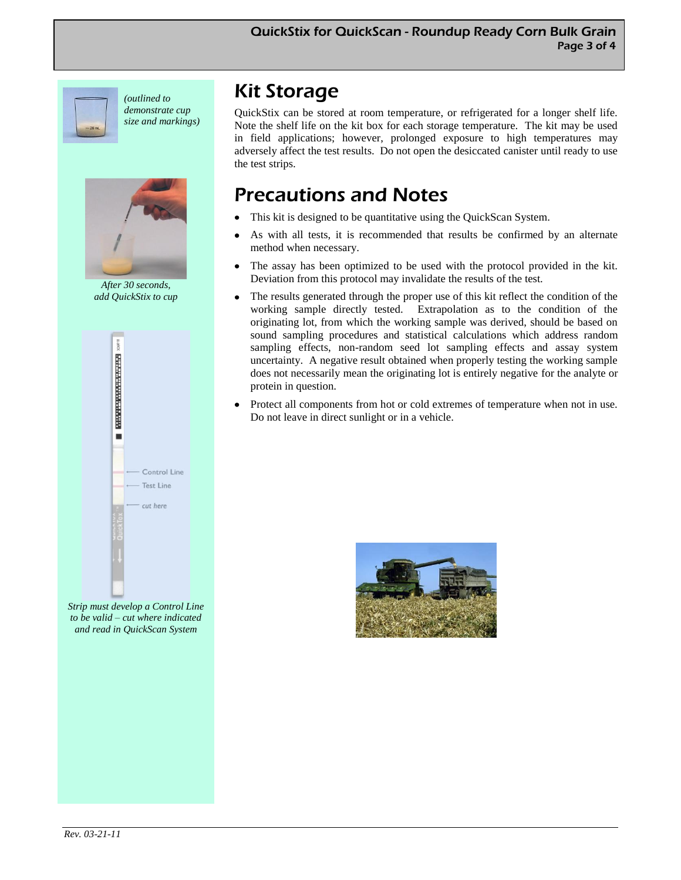

*(outlined to demonstrate cup size and markings)*



*After 30 seconds, add QuickStix to cup*



*Strip must develop a Control Line to be valid – cut where indicated and read in QuickScan System* 

# Kit Storage

QuickStix can be stored at room temperature, or refrigerated for a longer shelf life. Note the shelf life on the kit box for each storage temperature. The kit may be used in field applications; however, prolonged exposure to high temperatures may adversely affect the test results. Do not open the desiccated canister until ready to use the test strips.

# Precautions and Notes

- This kit is designed to be quantitative using the QuickScan System.
- As with all tests, it is recommended that results be confirmed by an alternate method when necessary.
- The assay has been optimized to be used with the protocol provided in the kit. Deviation from this protocol may invalidate the results of the test.
- The results generated through the proper use of this kit reflect the condition of the working sample directly tested. Extrapolation as to the condition of the originating lot, from which the working sample was derived, should be based on sound sampling procedures and statistical calculations which address random sampling effects, non-random seed lot sampling effects and assay system uncertainty. A negative result obtained when properly testing the working sample does not necessarily mean the originating lot is entirely negative for the analyte or protein in question.
- Protect all components from hot or cold extremes of temperature when not in use. Do not leave in direct sunlight or in a vehicle.